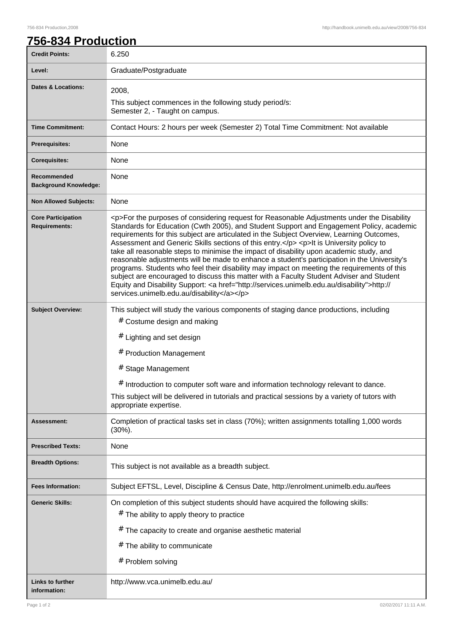## **756-834 Production**

| <b>Credit Points:</b>                             | 6.250                                                                                                                                                                                                                                                                                                                                                                                                                                                                                                                                                                                                                                                                                                                                                                                                                                                                                                                        |
|---------------------------------------------------|------------------------------------------------------------------------------------------------------------------------------------------------------------------------------------------------------------------------------------------------------------------------------------------------------------------------------------------------------------------------------------------------------------------------------------------------------------------------------------------------------------------------------------------------------------------------------------------------------------------------------------------------------------------------------------------------------------------------------------------------------------------------------------------------------------------------------------------------------------------------------------------------------------------------------|
| Level:                                            | Graduate/Postgraduate                                                                                                                                                                                                                                                                                                                                                                                                                                                                                                                                                                                                                                                                                                                                                                                                                                                                                                        |
| Dates & Locations:                                | 2008,<br>This subject commences in the following study period/s:<br>Semester 2, - Taught on campus.                                                                                                                                                                                                                                                                                                                                                                                                                                                                                                                                                                                                                                                                                                                                                                                                                          |
| <b>Time Commitment:</b>                           | Contact Hours: 2 hours per week (Semester 2) Total Time Commitment: Not available                                                                                                                                                                                                                                                                                                                                                                                                                                                                                                                                                                                                                                                                                                                                                                                                                                            |
| <b>Prerequisites:</b>                             | None                                                                                                                                                                                                                                                                                                                                                                                                                                                                                                                                                                                                                                                                                                                                                                                                                                                                                                                         |
| <b>Corequisites:</b>                              | None                                                                                                                                                                                                                                                                                                                                                                                                                                                                                                                                                                                                                                                                                                                                                                                                                                                                                                                         |
| Recommended<br><b>Background Knowledge:</b>       | None                                                                                                                                                                                                                                                                                                                                                                                                                                                                                                                                                                                                                                                                                                                                                                                                                                                                                                                         |
| <b>Non Allowed Subjects:</b>                      | None                                                                                                                                                                                                                                                                                                                                                                                                                                                                                                                                                                                                                                                                                                                                                                                                                                                                                                                         |
| <b>Core Participation</b><br><b>Requirements:</b> | <p>For the purposes of considering request for Reasonable Adjustments under the Disability<br/>Standards for Education (Cwth 2005), and Student Support and Engagement Policy, academic<br/>requirements for this subject are articulated in the Subject Overview, Learning Outcomes,<br/>Assessment and Generic Skills sections of this entry.</p> <p>It is University policy to<br/>take all reasonable steps to minimise the impact of disability upon academic study, and<br/>reasonable adjustments will be made to enhance a student's participation in the University's<br/>programs. Students who feel their disability may impact on meeting the requirements of this<br/>subject are encouraged to discuss this matter with a Faculty Student Adviser and Student<br/>Equity and Disability Support: &lt; a href="http://services.unimelb.edu.au/disability"&gt;http://<br/>services.unimelb.edu.au/disability</p> |
| <b>Subject Overview:</b>                          | This subject will study the various components of staging dance productions, including<br># Costume design and making<br># Lighting and set design<br># Production Management<br>#<br><b>Stage Management</b><br># Introduction to computer soft ware and information technology relevant to dance.<br>This subject will be delivered in tutorials and practical sessions by a variety of tutors with<br>appropriate expertise.                                                                                                                                                                                                                                                                                                                                                                                                                                                                                              |
| Assessment:                                       | Completion of practical tasks set in class (70%); written assignments totalling 1,000 words<br>$(30\%)$ .                                                                                                                                                                                                                                                                                                                                                                                                                                                                                                                                                                                                                                                                                                                                                                                                                    |
| <b>Prescribed Texts:</b>                          | None                                                                                                                                                                                                                                                                                                                                                                                                                                                                                                                                                                                                                                                                                                                                                                                                                                                                                                                         |
| <b>Breadth Options:</b>                           | This subject is not available as a breadth subject.                                                                                                                                                                                                                                                                                                                                                                                                                                                                                                                                                                                                                                                                                                                                                                                                                                                                          |
| <b>Fees Information:</b>                          | Subject EFTSL, Level, Discipline & Census Date, http://enrolment.unimelb.edu.au/fees                                                                                                                                                                                                                                                                                                                                                                                                                                                                                                                                                                                                                                                                                                                                                                                                                                         |
| <b>Generic Skills:</b>                            | On completion of this subject students should have acquired the following skills:<br># The ability to apply theory to practice<br># The capacity to create and organise aesthetic material<br># The ability to communicate<br># Problem solving                                                                                                                                                                                                                                                                                                                                                                                                                                                                                                                                                                                                                                                                              |
| <b>Links to further</b><br>information:           | http://www.vca.unimelb.edu.au/                                                                                                                                                                                                                                                                                                                                                                                                                                                                                                                                                                                                                                                                                                                                                                                                                                                                                               |